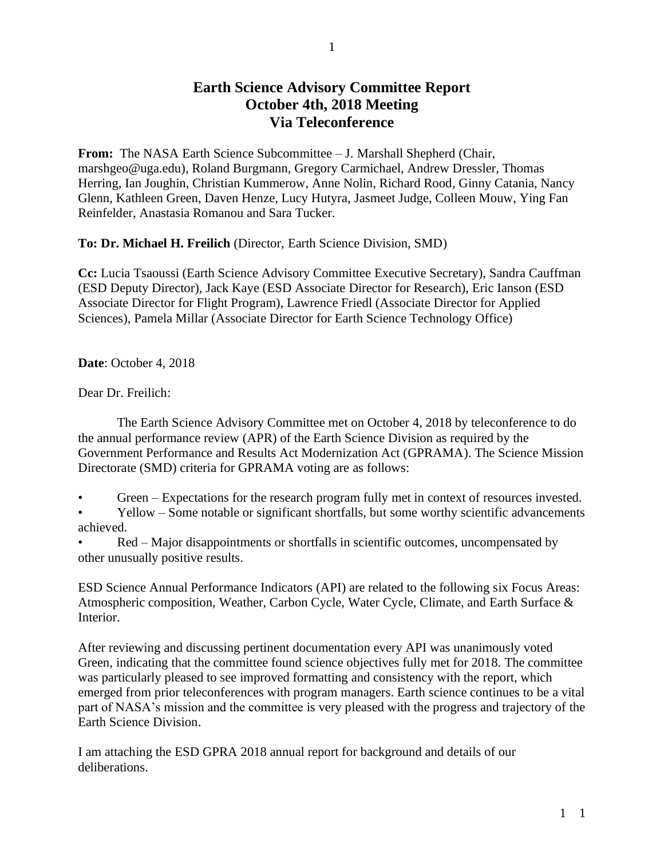## **Earth Science Advisory Committee Report October 4th, 2018 Meeting Via Teleconference**

**From:** The NASA Earth Science Subcommittee – J. Marshall Shepherd (Chair, marshgeo@uga.edu), Roland Burgmann, Gregory Carmichael, Andrew Dressler, Thomas Herring, Ian Joughin, Christian Kummerow, Anne Nolin, Richard Rood, Ginny Catania, Nancy Glenn, Kathleen Green, Daven Henze, Lucy Hutyra, Jasmeet Judge, Colleen Mouw, Ying Fan Reinfelder, Anastasia Romanou and Sara Tucker.

**To: Dr. Michael H. Freilich** (Director, Earth Science Division, SMD)

**Cc:** Lucia Tsaoussi (Earth Science Advisory Committee Executive Secretary), Sandra Cauffman (ESD Deputy Director), Jack Kaye (ESD Associate Director for Research), Eric Ianson (ESD Associate Director for Flight Program), Lawrence Friedl (Associate Director for Applied Sciences), Pamela Millar (Associate Director for Earth Science Technology Office)

**Date**: October 4, 2018

Dear Dr. Freilich:

The Earth Science Advisory Committee met on October 4, 2018 by teleconference to do the annual performance review (APR) of the Earth Science Division as required by the Government Performance and Results Act Modernization Act (GPRAMA). The Science Mission Directorate (SMD) criteria for GPRAMA voting are as follows:

- Green Expectations for the research program fully met in context of resources invested.
- Yellow Some notable or significant shortfalls, but some worthy scientific advancements achieved.
- Red Major disappointments or shortfalls in scientific outcomes, uncompensated by other unusually positive results.

ESD Science Annual Performance Indicators (API) are related to the following six Focus Areas: Atmospheric composition, Weather, Carbon Cycle, Water Cycle, Climate, and Earth Surface & Interior.

After reviewing and discussing pertinent documentation every API was unanimously voted Green, indicating that the committee found science objectives fully met for 2018. The committee was particularly pleased to see improved formatting and consistency with the report, which emerged from prior teleconferences with program managers. Earth science continues to be a vital part of NASA's mission and the committee is very pleased with the progress and trajectory of the Earth Science Division.

I am attaching the ESD GPRA 2018 annual report for background and details of our deliberations.